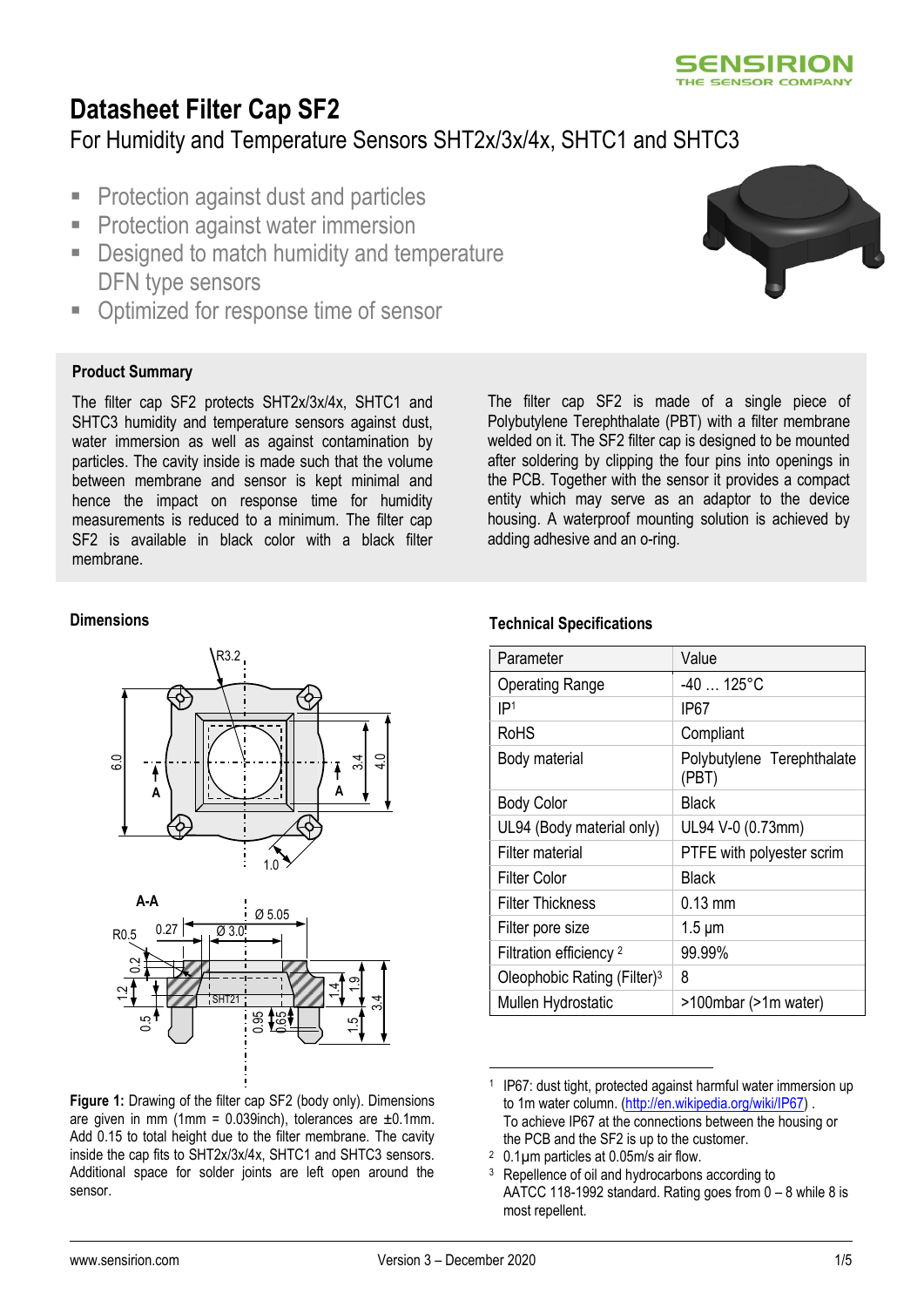

## **Datasheet Filter Cap SF2** For Humidity and Temperature Sensors SHT2x/3x/4x, SHTC1 and SHTC3

- Protection against dust and particles
- **Protection against water immersion**
- **EXEC** Designed to match humidity and temperature DFN type sensors
- Optimized for response time of sensor

### **Product Summary**

The filter cap SF2 protects SHT2x/3x/4x, SHTC1 and SHTC3 humidity and temperature sensors against dust, water immersion as well as against contamination by particles. The cavity inside is made such that the volume between membrane and sensor is kept minimal and hence the impact on response time for humidity measurements is reduced to a minimum. The filter cap SF2 is available in black color with a black filter membrane.

The filter cap SF2 is made of a single piece of Polybutylene Terephthalate (PBT) with a filter membrane welded on it. The SF2 filter cap is designed to be mounted after soldering by clipping the four pins into openings in the PCB. Together with the sensor it provides a compact entity which may serve as an adaptor to the device housing. A waterproof mounting solution is achieved by adding adhesive and an o-ring.

#### **Dimensions**



**Figure 1:** Drawing of the filter cap SF2 (body only). Dimensions are given in mm (1mm =  $0.039$ inch), tolerances are  $\pm 0.1$ mm. Add 0.15 to total height due to the filter membrane. The cavity inside the cap fits to SHT2x/3x/4x, SHTC1 and SHTC3 sensors. Additional space for solder joints are left open around the sensor.

#### **Technical Specifications**

| Parameter                               | Value                               |
|-----------------------------------------|-------------------------------------|
| <b>Operating Range</b>                  | $-40$ 125°C                         |
| IP <sub>1</sub>                         | IP67                                |
| RoHS                                    | Compliant                           |
| Body material                           | Polybutylene Terephthalate<br>(PBT) |
| <b>Body Color</b>                       | <b>Black</b>                        |
| UL94 (Body material only)               | UL94 V-0 (0.73mm)                   |
| Filter material                         | PTFE with polyester scrim           |
| Filter Color                            | Black                               |
| <b>Filter Thickness</b>                 | $0.13 \text{ mm}$                   |
| Filter pore size                        | $1.5 \mu m$                         |
| Filtration efficiency <sup>2</sup>      | 99.99%                              |
| Oleophobic Rating (Filter) <sup>3</sup> | 8                                   |
| Mullen Hydrostatic                      | >100mbar (>1m water)                |
|                                         |                                     |

<sup>1</sup> IP67: dust tight, protected against harmful water immersion up to 1m water column. [\(http://en.wikipedia.org/wiki/IP67\)](http://en.wikipedia.org/wiki/IP67) . To achieve IP67 at the connections between the housing or the PCB and the SF2 is up to the customer.



<sup>2</sup> 0.1µm particles at 0.05m/s air flow.

<sup>&</sup>lt;sup>3</sup> Repellence of oil and hydrocarbons according to AATCC 118-1992 standard. Rating goes from 0 – 8 while 8 is most repellent.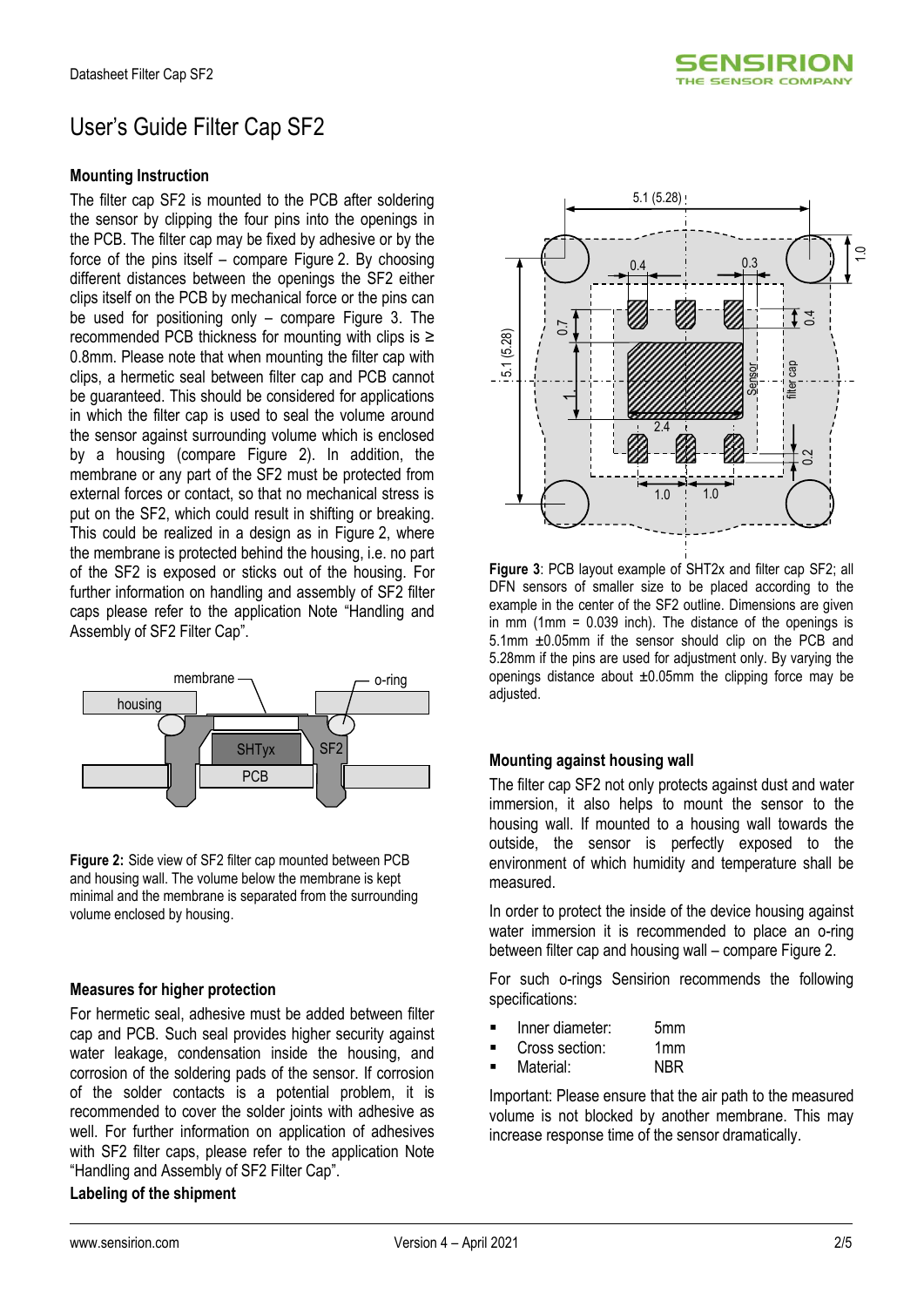

# User's Guide Filter Cap SF2

#### **Mounting Instruction**

The filter cap SF2 is mounted to the PCB after soldering the sensor by clipping the four pins into the openings in the PCB. The filter cap may be fixed by adhesive or by the force of the pins itself – compare Figure 2. By choosing different distances between the openings the SF2 either clips itself on the PCB by mechanical force or the pins can be used for positioning only  $-$  compare Figure 3. The recommended PCB thickness for mounting with clips is ≥ 0.8mm. Please note that when mounting the filter cap with clips, a hermetic seal between filter cap and PCB cannot be guaranteed. This should be considered for applications in which the filter cap is used to seal the volume around the sensor against surrounding volume which is enclosed by a housing (compare [Figure 2\)](#page-1-0). In addition, the membrane or any part of the SF2 must be protected from external forces or contact, so that no mechanical stress is put on the SF2, which could result in shifting or breaking. This could be realized in a design as in Figure 2, where the membrane is protected behind the housing, i.e. no part of the SF2 is exposed or sticks out of the housing. For further information on handling and assembly of SF2 filter caps please refer to the application Note "Handling and Assembly of SF2 Filter Cap".



<span id="page-1-0"></span>**Figure 2:** Side view of SF2 filter cap mounted between PCB and housing wall. The volume below the membrane is kept minimal and the membrane is separated from the surrounding volume enclosed by housing.

#### **Measures for higher protection**

For hermetic seal, adhesive must be added between filter cap and PCB. Such seal provides higher security against water leakage, condensation inside the housing, and corrosion of the soldering pads of the sensor. If corrosion of the solder contacts is a potential problem, it is recommended to cover the solder joints with adhesive as well. For further information on application of adhesives with SF2 filter caps, please refer to the application Note "Handling and Assembly of SF2 Filter Cap".

#### **Labeling of the shipment**



**Figure 3**: PCB layout example of SHT2x and filter cap SF2; all DFN sensors of smaller size to be placed according to the example in the center of the SF2 outline. Dimensions are given in mm (1mm = 0.039 inch). The distance of the openings is 5.1mm ±0.05mm if the sensor should clip on the PCB and 5.28mm if the pins are used for adjustment only. By varying the openings distance about  $\pm 0.05$ mm the clipping force may be adjusted.

#### **Mounting against housing wall**

The filter cap SF2 not only protects against dust and water immersion, it also helps to mount the sensor to the housing wall. If mounted to a housing wall towards the outside, the sensor is perfectly exposed to the environment of which humidity and temperature shall be measured.

In order to protect the inside of the device housing against water immersion it is recommended to place an o-ring between filter cap and housing wall – compare Figure 2.

For such o-rings Sensirion recommends the following specifications:

- Inner diameter: 5mm
- Cross section: 1mm
- Material: NBR

Important: Please ensure that the air path to the measured volume is not blocked by another membrane. This may increase response time of the sensor dramatically.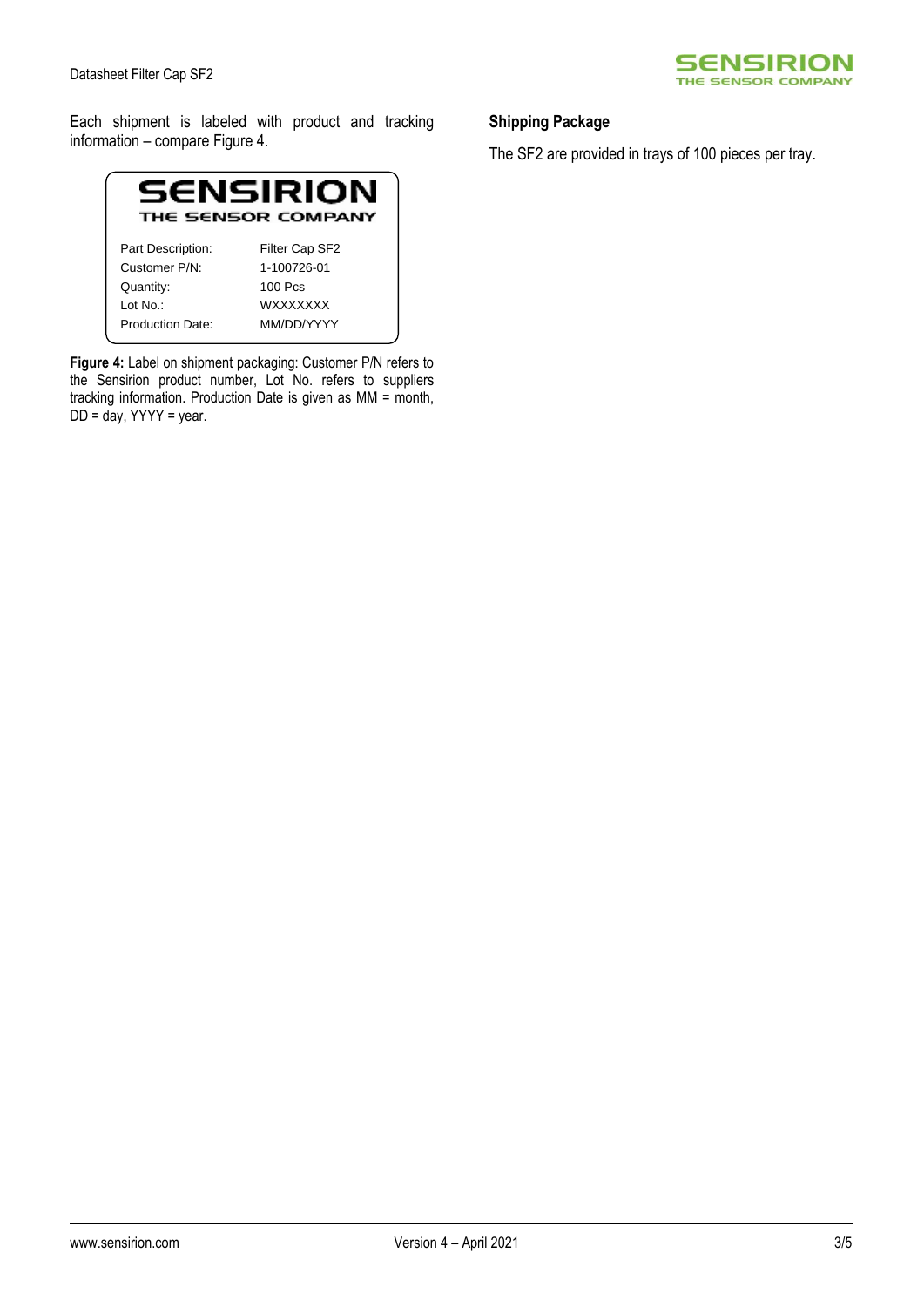

Each shipment is labeled with product and tracking information – compare Figure 4.



**Figure 4:** Label on shipment packaging: Customer P/N refers to the Sensirion product number, Lot No. refers to suppliers tracking information. Production Date is given as MM = month,  $DD = day$ , YYYY = year.

### **Shipping Package**

The SF2 are provided in trays of 100 pieces per tray.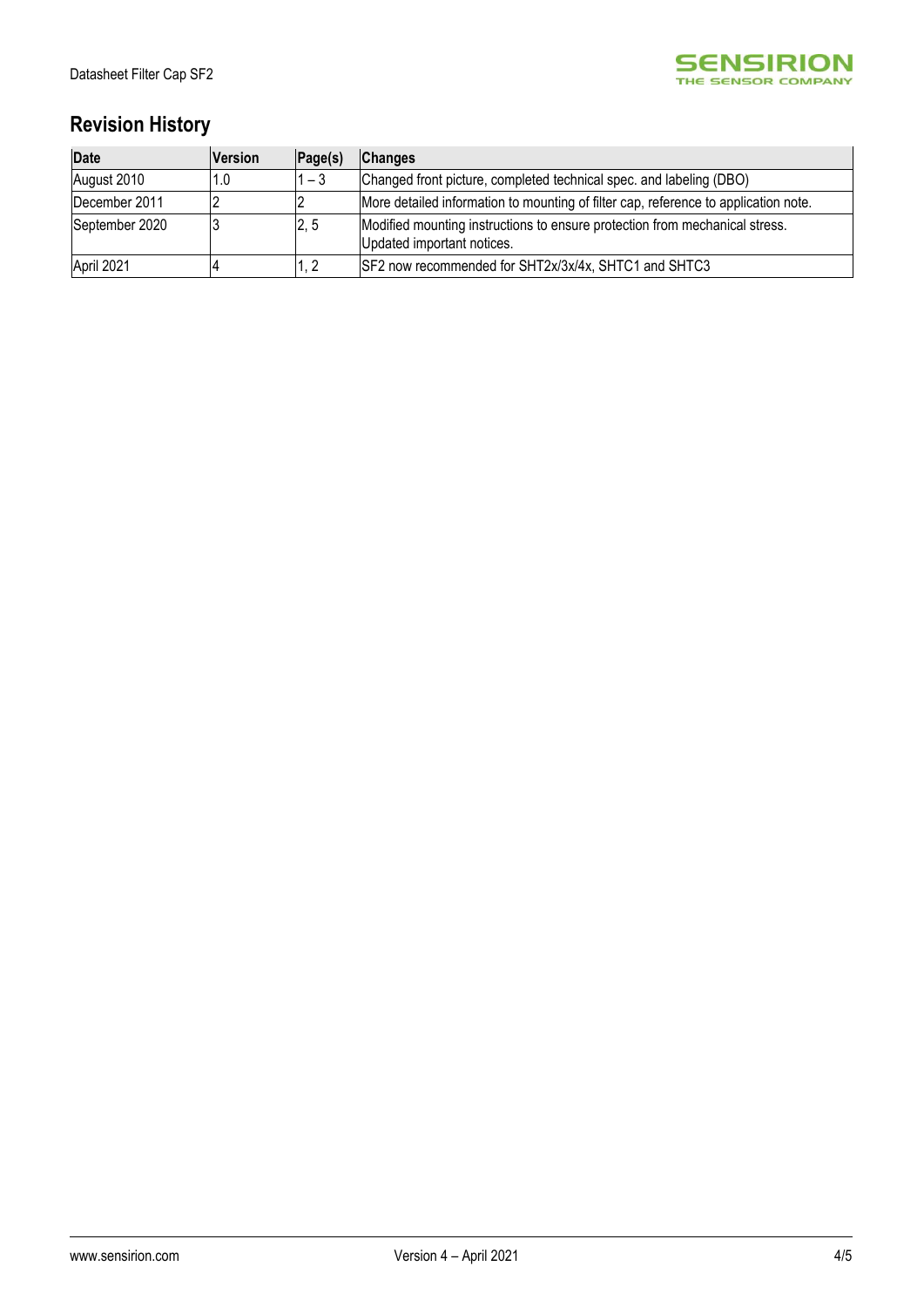

## **Revision History**

| Date           | <b>Version</b> | Page(s) | <b>Changes</b>                                                                                            |
|----------------|----------------|---------|-----------------------------------------------------------------------------------------------------------|
| August 2010    | 1.0            | $1 - 3$ | Changed front picture, completed technical spec. and labeling (DBO)                                       |
| December 2011  |                |         | More detailed information to mounting of filter cap, reference to application note.                       |
| September 2020 |                | 2, 5    | Modified mounting instructions to ensure protection from mechanical stress.<br>Updated important notices. |
| April 2021     |                | 1, 2    | SF2 now recommended for SHT2x/3x/4x, SHTC1 and SHTC3                                                      |